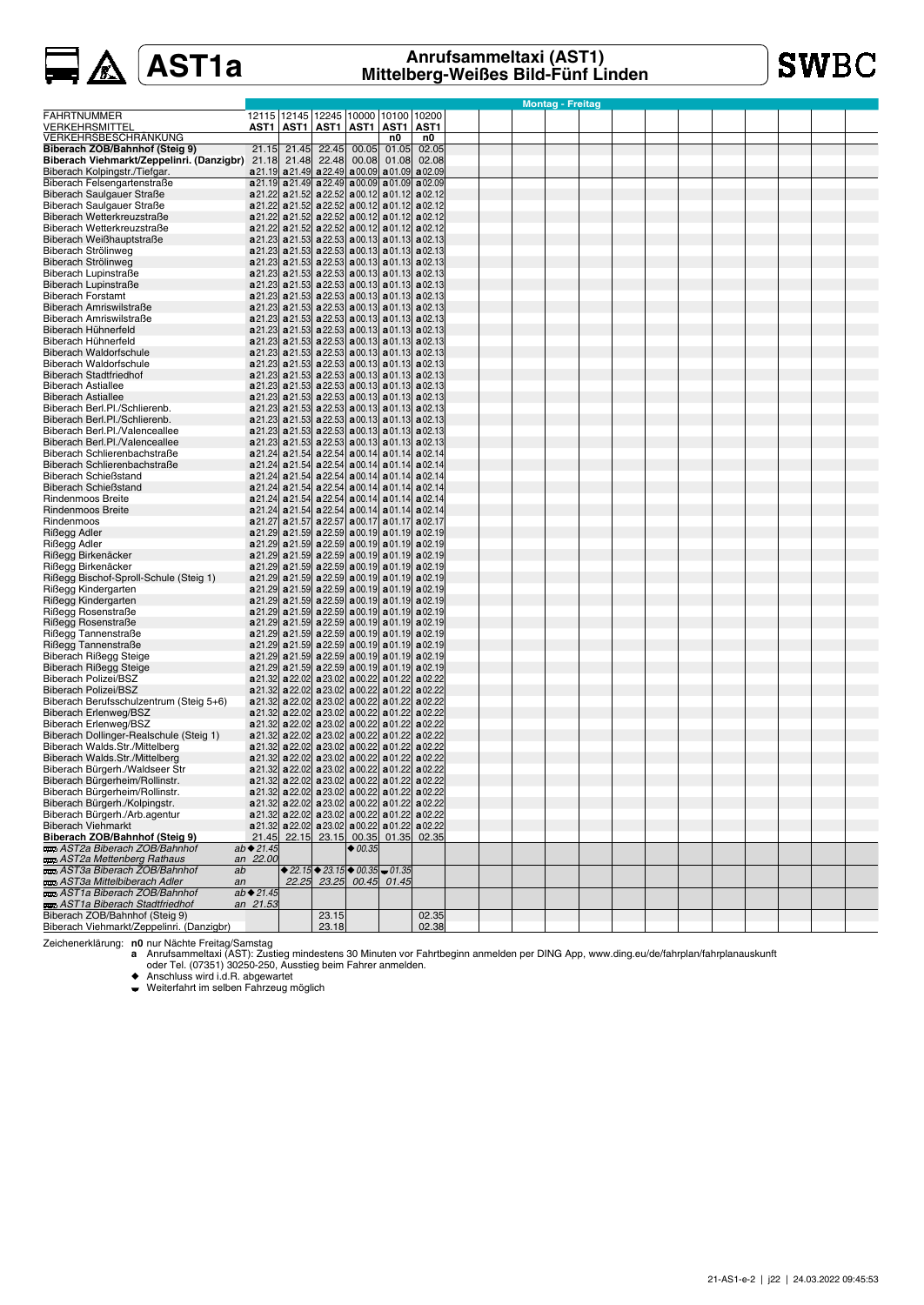**SWBC** 

|                                                       |                          |       |                                                                                                                                                                                 |           |       |                  |  | <b>Montag - Freitag</b> |  |  |  |  |  |
|-------------------------------------------------------|--------------------------|-------|---------------------------------------------------------------------------------------------------------------------------------------------------------------------------------|-----------|-------|------------------|--|-------------------------|--|--|--|--|--|
| FAHRTNUMMER                                           |                          |       | 12115   12145   12245   10000   10100   10200                                                                                                                                   |           |       |                  |  |                         |  |  |  |  |  |
| <b>VERKEHRSMITTEL</b>                                 |                          |       | AST1   AST1   AST1   AST1   AST1                                                                                                                                                |           |       | AST <sub>1</sub> |  |                         |  |  |  |  |  |
| VERKEHRSBESCHRÄNKUNG                                  |                          |       |                                                                                                                                                                                 |           | n0    | n0               |  |                         |  |  |  |  |  |
| Biberach ZOB/Bahnhof (Steig 9)                        | 21.15                    | 21.45 | 22.45                                                                                                                                                                           | 00.05     | 01.05 | 02.05            |  |                         |  |  |  |  |  |
| Biberach Viehmarkt/Zeppelinri. (Danzigbr) 21.18 21.48 |                          |       | 22.48                                                                                                                                                                           | 00.08     | 01.08 | 02.08            |  |                         |  |  |  |  |  |
| Biberach Kolpingstr./Tiefgar.                         |                          |       | $a21.19$ a21.49 a22.49 a00.09 a01.09 a02.09                                                                                                                                     |           |       |                  |  |                         |  |  |  |  |  |
| Biberach Felsengartenstraße                           |                          |       | $a21.19$ a $21.49$ a $22.49$ a 00.09 a 01.09 a 02.09                                                                                                                            |           |       |                  |  |                         |  |  |  |  |  |
| Biberach Saulgauer Straße                             |                          |       | a 21.22 a 21.52 a 22.52 a 00.12 a 01.12 a 02.12                                                                                                                                 |           |       |                  |  |                         |  |  |  |  |  |
| Biberach Saulgauer Straße                             |                          |       | a 21.22 a 21.52 a 22.52 a 00.12 a 01.12 a 02.12                                                                                                                                 |           |       |                  |  |                         |  |  |  |  |  |
| Biberach Wetterkreuzstraße                            |                          |       | a 21.22 a 21.52 a 22.52 a 00.12 a 01.12 a 02.12                                                                                                                                 |           |       |                  |  |                         |  |  |  |  |  |
| Biberach Wetterkreuzstraße                            |                          |       | a 21.22 a 21.52 a 22.52 a 00.12 a 01.12 a 02.12                                                                                                                                 |           |       |                  |  |                         |  |  |  |  |  |
| Biberach Weißhauptstraße                              |                          |       | $a21.23$ a $21.53$ a $22.53$ a 00.13 a 01.13 a 02.13                                                                                                                            |           |       |                  |  |                         |  |  |  |  |  |
| Biberach Strölinweg                                   |                          |       | $\mathbf{a}$ 21.23 $\mathbf{a}$ 21.53 $\mathbf{a}$ 22.53 $\mathbf{a}$ 00.13 $\mathbf{a}$ 01.13 $\mathbf{a}$ 02.13                                                               |           |       |                  |  |                         |  |  |  |  |  |
| Biberach Strölinweg                                   |                          |       | $a21.23$ a $21.53$ a $22.53$ a 00.13 a 01.13 a 02.13                                                                                                                            |           |       |                  |  |                         |  |  |  |  |  |
| Biberach Lupinstraße                                  |                          |       | $a21.23$ a $21.53$ a $22.53$ a 00.13 a 01.13 a 02.13                                                                                                                            |           |       |                  |  |                         |  |  |  |  |  |
| Biberach Lupinstraße                                  |                          |       | $\mathbf{a}$ 21.23 $\mathbf{a}$ 21.53 $\mathbf{a}$ 22.53 $\mathbf{a}$ 00.13 $\mathbf{a}$ 01.13 $\mathbf{a}$ 02.13                                                               |           |       |                  |  |                         |  |  |  |  |  |
| <b>Biberach Forstamt</b>                              |                          |       | a 21.23 a 21.53 a 22.53 a 00.13 a 01.13 a 02.13                                                                                                                                 |           |       |                  |  |                         |  |  |  |  |  |
| Biberach Amriswilstraße                               |                          |       | $a21.23$ a $21.53$ a $22.53$ a 00.13 a 01.13 a 02.13                                                                                                                            |           |       |                  |  |                         |  |  |  |  |  |
| Biberach Amriswilstraße                               |                          |       | $\mathbf{a}$ 21.23 $\mathbf{a}$ 21.53 $\mathbf{a}$ 22.53 $\mathbf{a}$ 00.13 $\mathbf{a}$ 01.13 $\mathbf{a}$ 02.13                                                               |           |       |                  |  |                         |  |  |  |  |  |
| Biberach Hühnerfeld                                   |                          |       | $a21.23$ a $21.53$ a $22.53$ a $00.13$ a $01.13$ a $02.13$                                                                                                                      |           |       |                  |  |                         |  |  |  |  |  |
| Biberach Hühnerfeld                                   |                          |       | $\mathbf{a}$ 21.23 $\mathbf{a}$ 21.53 $\mathbf{a}$ 22.53 $\mathbf{a}$ 00.13 $\mathbf{a}$ 01.13 $\mathbf{a}$ 02.13                                                               |           |       |                  |  |                         |  |  |  |  |  |
| <b>Biberach Waldorfschule</b>                         |                          |       | $a21.23$ a $21.53$ a $22.53$ a 00.13 a 01.13 a 02.13                                                                                                                            |           |       |                  |  |                         |  |  |  |  |  |
| <b>Biberach Waldorfschule</b>                         |                          |       | $a21.23$ a $21.53$ a $22.53$ a $00.13$ a $01.13$ a $02.13$                                                                                                                      |           |       |                  |  |                         |  |  |  |  |  |
| <b>Biberach Stadtfriedhof</b>                         |                          |       | $a21.23$ a 21.53 a 22.53 a 00.13 a 01.13 a 02.13                                                                                                                                |           |       |                  |  |                         |  |  |  |  |  |
| <b>Biberach Astiallee</b>                             |                          |       | $a21.23$ a21.53 a22.53 a00.13 a01.13 a02.13                                                                                                                                     |           |       |                  |  |                         |  |  |  |  |  |
| <b>Biberach Astiallee</b>                             |                          |       | $\mathbf{a}$ 21.23 $\mathbf{a}$ 21.53 $\mathbf{a}$ 22.53 $\mathbf{a}$ 00.13 $\mathbf{a}$ 01.13 $\mathbf{a}$ 02.13                                                               |           |       |                  |  |                         |  |  |  |  |  |
| Biberach Berl.Pl./Schlierenb.                         |                          |       | $a21.23$ a $21.53$ a $22.53$ a 00.13 a 01.13 a 02.13                                                                                                                            |           |       |                  |  |                         |  |  |  |  |  |
| Biberach Berl.Pl./Schlierenb.                         |                          |       | $a21.23$ a $21.53$ a $22.53$ a 00.13 a 01.13 a 02.13                                                                                                                            |           |       |                  |  |                         |  |  |  |  |  |
| Biberach Berl.Pl./Valenceallee                        |                          |       | $a21.23$ a $21.53$ a $22.53$ a 00.13 a 01.13 a 02.13                                                                                                                            |           |       |                  |  |                         |  |  |  |  |  |
| Biberach Berl.Pl./Valenceallee                        |                          |       | $a21.23$ a $21.53$ a $22.53$ a 00.13 a 01.13 a 02.13                                                                                                                            |           |       |                  |  |                         |  |  |  |  |  |
| Biberach Schlierenbachstraße                          |                          |       | a 21.24 a 21.54 a 22.54 a 00.14 a 01.14 a 02.14                                                                                                                                 |           |       |                  |  |                         |  |  |  |  |  |
| Biberach Schlierenbachstraße                          |                          |       | a 21.24 a 21.54 a 22.54 a 00.14 a 01.14 a 02.14                                                                                                                                 |           |       |                  |  |                         |  |  |  |  |  |
| <b>Biberach Schießstand</b>                           |                          |       | $a21.24$ a $21.54$ a $22.54$ a 00.14 a 01.14 a 02.14                                                                                                                            |           |       |                  |  |                         |  |  |  |  |  |
| <b>Biberach Schießstand</b>                           |                          |       | a 21.24 a 21.54 a 22.54 a 00.14 a 01.14 a 02.14                                                                                                                                 |           |       |                  |  |                         |  |  |  |  |  |
| <b>Rindenmoos Breite</b>                              |                          |       | a 21.24 a 21.54 a 22.54 a 00.14 a 01.14 a 02.14                                                                                                                                 |           |       |                  |  |                         |  |  |  |  |  |
| <b>Rindenmoos Breite</b>                              |                          |       | a 21.24 a 21.54 a 22.54 a 00.14 a 01.14 a 02.14                                                                                                                                 |           |       |                  |  |                         |  |  |  |  |  |
| Rindenmoos                                            |                          |       | a21.27 a21.57 a22.57 a00.17 a01.17 a02.17                                                                                                                                       |           |       |                  |  |                         |  |  |  |  |  |
| Rißegg Adler                                          |                          |       | $a21.29$ a $21.59$ a $22.59$ a $00.19$ a $01.19$ a $02.19$                                                                                                                      |           |       |                  |  |                         |  |  |  |  |  |
| Rißegg Adler                                          |                          |       | $\mathbf{a}$ 21.29 $\mathbf{a}$ 21.59 $\mathbf{a}$ 22.59 $\mathbf{a}$ 00.19 $\mathbf{a}$ 01.19 $\mathbf{a}$ 02.19                                                               |           |       |                  |  |                         |  |  |  |  |  |
| Rißegg Birkenäcker                                    |                          |       | $\mathbf{a}$ 21.29 $\mathbf{a}$ 21.59 $\mathbf{a}$ 22.59 $\mathbf{a}$ 00.19 $\mathbf{a}$ 01.19 $\mathbf{a}$ 02.19                                                               |           |       |                  |  |                         |  |  |  |  |  |
| Rißegg Birkenäcker                                    |                          |       | $a21.29$ a $21.59$ a $22.59$ a 00.19 a 01.19 a 02.19                                                                                                                            |           |       |                  |  |                         |  |  |  |  |  |
| Rißegg Bischof-Sproll-Schule (Steig 1)                |                          |       | $\mathbf{a}$ 21.29 $\mathbf{a}$ 21.59 $\mathbf{a}$ 22.59 $\mathbf{a}$ 00.19 $\mathbf{a}$ 01.19 $\mathbf{a}$ 02.19                                                               |           |       |                  |  |                         |  |  |  |  |  |
| Rißegg Kindergarten                                   |                          |       | $a21.29$ a $21.59$ a $22.59$ a $00.19$ a $01.19$ a $02.19$<br>$a21.29$ a $21.59$ a $22.59$ a 00.19 a 01.19 a 02.19                                                              |           |       |                  |  |                         |  |  |  |  |  |
| Rißegg Kindergarten                                   |                          |       |                                                                                                                                                                                 |           |       |                  |  |                         |  |  |  |  |  |
| Rißegg Rosenstraße                                    |                          |       | $a21.29$ a $21.59$ a $22.59$ a $00.19$ a $01.19$ a $02.19$<br>$\mathbf{a}$ 21.29 $\mathbf{a}$ 21.59 $\mathbf{a}$ 22.59 $\mathbf{a}$ 00.19 $\mathbf{a}$ 01.19 $\mathbf{a}$ 02.19 |           |       |                  |  |                         |  |  |  |  |  |
| Rißegg Rosenstraße<br>Rißegg Tannenstraße             |                          |       | $\mathbf{a}$ 21.29 $\mathbf{a}$ 21.59 $\mathbf{a}$ 22.59 $\mathbf{a}$ 00.19 $\mathbf{a}$ 01.19 $\mathbf{a}$ 02.19                                                               |           |       |                  |  |                         |  |  |  |  |  |
| Rißegg Tannenstraße                                   |                          |       | $a21.29$ a $21.59$ a $22.59$ a 00.19 a 01.19 a 02.19                                                                                                                            |           |       |                  |  |                         |  |  |  |  |  |
| Biberach Rißegg Steige                                |                          |       | $a21.29$ a $21.59$ a $22.59$ a 00.19 a 01.19 a 02.19                                                                                                                            |           |       |                  |  |                         |  |  |  |  |  |
| <b>Biberach Rißegg Steige</b>                         |                          |       | $a21.29$ a $21.59$ a $22.59$ a 00.19 a 01.19 a 02.19                                                                                                                            |           |       |                  |  |                         |  |  |  |  |  |
| <b>Biberach Polizei/BSZ</b>                           |                          |       | a 21.32 a 22.02 a 23.02 a 00.22 a 01.22 a 02.22                                                                                                                                 |           |       |                  |  |                         |  |  |  |  |  |
| Biberach Polizei/BSZ                                  |                          |       | $a21.32$ a 22.02 a 23.02 a 00.22 a 01.22 a 02.22                                                                                                                                |           |       |                  |  |                         |  |  |  |  |  |
| Biberach Berufsschulzentrum (Steig 5+6)               |                          |       | a 21.32 a 22.02 a 23.02 a 00.22 a 01.22 a 02.22                                                                                                                                 |           |       |                  |  |                         |  |  |  |  |  |
| Biberach Erlenweg/BSZ                                 |                          |       | a 21.32 a 22.02 a 23.02 a 00.22 a 01.22 a 02.22                                                                                                                                 |           |       |                  |  |                         |  |  |  |  |  |
| Biberach Erlenweg/BSZ                                 |                          |       | a 21.32 a 22.02 a 23.02 a 00.22 a 01.22 a 02.22                                                                                                                                 |           |       |                  |  |                         |  |  |  |  |  |
| Biberach Dollinger-Realschule (Steig 1)               |                          |       | a 21.32 a 22.02 a 23.02 a 00.22 a 01.22 a 02.22                                                                                                                                 |           |       |                  |  |                         |  |  |  |  |  |
| Biberach Walds.Str./Mittelberg                        |                          |       | a 21.32 a 22.02 a 23.02 a 00.22 a 01.22 a 02.22                                                                                                                                 |           |       |                  |  |                         |  |  |  |  |  |
| Biberach Walds.Str./Mittelberg                        |                          |       | a 21.32 a 22.02 a 23.02 a 00.22 a 01.22 a 02.22                                                                                                                                 |           |       |                  |  |                         |  |  |  |  |  |
| Biberach Bürgerh./Waldseer Str                        |                          |       | $\mathbf{a}$ 21.32 $\mathbf{a}$ 22.02 $\mathbf{a}$ 23.02 $\mathbf{a}$ 00.22 $\mathbf{a}$ 01.22 $\mathbf{a}$ 02.22                                                               |           |       |                  |  |                         |  |  |  |  |  |
| Biberach Bürgerheim/Rollinstr.                        |                          |       | a 21.32 a 22.02 a 23.02 a 00.22 a 01.22 a 02.22                                                                                                                                 |           |       |                  |  |                         |  |  |  |  |  |
| Biberach Bürgerheim/Rollinstr.                        |                          |       | a 21.32 a 22.02 a 23.02 a 00.22 a 01.22 a 02.22                                                                                                                                 |           |       |                  |  |                         |  |  |  |  |  |
| Biberach Bürgerh./Kolpingstr.                         |                          |       | a 21.32 a 22.02 a 23.02 a 00.22 a 01.22 a 02.22                                                                                                                                 |           |       |                  |  |                         |  |  |  |  |  |
| Biberach Bürgerh./Arb.agentur                         |                          |       | a 21.32 a 22.02 a 23.02 a 00.22 a 01.22 a 02.22                                                                                                                                 |           |       |                  |  |                         |  |  |  |  |  |
| <b>Biberach Viehmarkt</b>                             |                          |       | a 21.32 a 22.02 a 23.02 a 00.22 a 01.22 a 02.22                                                                                                                                 |           |       |                  |  |                         |  |  |  |  |  |
| Biberach ZOB/Bahnhof (Steig 9)                        |                          |       | $21.45$ 22.15 23.15 00.35 01.35 02.35                                                                                                                                           |           |       |                  |  |                         |  |  |  |  |  |
| AST2a Biberach ZOB/Bahnhof                            | $ab \triangle 21.45$     |       |                                                                                                                                                                                 | ◆ $00.35$ |       |                  |  |                         |  |  |  |  |  |
| AST2a Mettenberg Rathaus                              | an 22.00                 |       |                                                                                                                                                                                 |           |       |                  |  |                         |  |  |  |  |  |
| AST3a Biberach ZOB/Bahnhof                            | ab                       |       | $\triangle$ 22.15 $\triangle$ 23.15 $\triangle$ 00.35 $\triangle$ 01.35                                                                                                         |           |       |                  |  |                         |  |  |  |  |  |
| AST3a Mittelbiberach Adler                            | an                       |       | 22.25 23.25 00.45 01.45                                                                                                                                                         |           |       |                  |  |                         |  |  |  |  |  |
| AST1a Biberach ZOB/Bahnhof                            | $ab \blacklozenge 21.45$ |       |                                                                                                                                                                                 |           |       |                  |  |                         |  |  |  |  |  |
| AST1a Biberach Stadtfriedhof                          | an 21.53                 |       |                                                                                                                                                                                 |           |       |                  |  |                         |  |  |  |  |  |
| Biberach ZOB/Bahnhof (Steig 9)                        |                          |       | 23.15                                                                                                                                                                           |           |       | 02.35            |  |                         |  |  |  |  |  |
| Biberach Viehmarkt/Zeppelinri. (Danzigbr)             |                          |       | 23.18                                                                                                                                                                           |           |       | 02.38            |  |                         |  |  |  |  |  |

Zeichenerklärung: n0 nur Nächte Freitag/Samstag<br>a Anrufsammeltaxi (AST): Zustieg mindestens 30 Minuten vor Fahrtbeginn anmelden per DING App, www.ding.eu/de/fahrplan/fahrplanauskunft<br>oder Tel. (07351) 30250-250, Ausstieg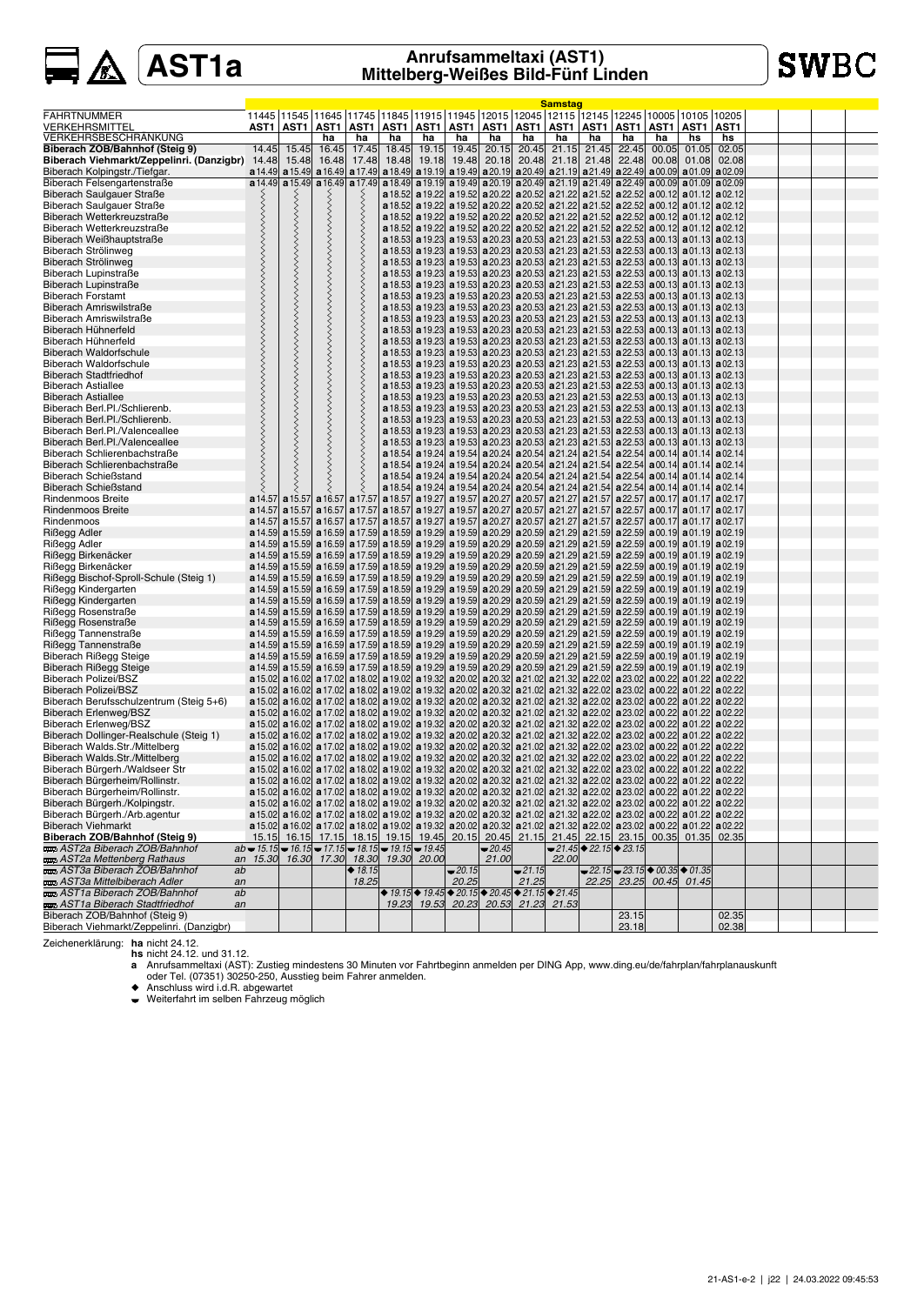# **SWBC**

|                                                              |                                                      |       |                  |                                                                                                                                                     |       |       |             |          |             | <b>Samstag</b>                                                                                                                                                                                                                                                                                                                               |       |                                                        |       |                                  |       |  |  |
|--------------------------------------------------------------|------------------------------------------------------|-------|------------------|-----------------------------------------------------------------------------------------------------------------------------------------------------|-------|-------|-------------|----------|-------------|----------------------------------------------------------------------------------------------------------------------------------------------------------------------------------------------------------------------------------------------------------------------------------------------------------------------------------------------|-------|--------------------------------------------------------|-------|----------------------------------|-------|--|--|
| <b>FAHRTNUMMER</b>                                           |                                                      |       |                  | 11445  11545  11645  11745  11845  11915  11945  12015  12045  12115  12145  12245  10005  10105  10205                                             |       |       |             |          |             |                                                                                                                                                                                                                                                                                                                                              |       |                                                        |       |                                  |       |  |  |
| VERKEHRSMITTEL                                               | AST1                                                 | AST1  | AST1             | AST1                                                                                                                                                | AST1  |       | AST1   AST1 |          |             | <u>AST1   AST1   AST1   AST1   AS</u> T1   AST1                                                                                                                                                                                                                                                                                              |       |                                                        |       | AST1                             | AST1  |  |  |
| VERKEHRSBESCHRÄNKUNG                                         |                                                      |       | ha               | ha                                                                                                                                                  | ha    | ha    | ha          | ha       | ha          | ha                                                                                                                                                                                                                                                                                                                                           | ha    | ha                                                     | ha    | hs                               | hs    |  |  |
| Biberach ZOB/Bahnhof (Steig 9)                               | 14.45                                                | 15.45 | 16.45            | 17.45                                                                                                                                               | 18.45 | 19.15 | 19.45       | 20.15    | 20.45       | 21.15                                                                                                                                                                                                                                                                                                                                        | 21.45 | 22.45                                                  | 00.05 | 01.05                            | 02.05 |  |  |
| Biberach Viehmarkt/Zeppelinri. (Danzigbr) 14.48              |                                                      | 15.48 | 16.48            | 17.48                                                                                                                                               | 18.48 | 19.18 | 19.48       |          | 20.18 20.48 | 21.18                                                                                                                                                                                                                                                                                                                                        | 21.48 | 22.48                                                  | 00.08 | 01.08                            | 02.08 |  |  |
| Biberach Kolpingstr./Tiefgar.                                | a 14.49                                              |       | $a15.49$ a 16.49 | a 17.49                                                                                                                                             |       |       |             |          |             | a 18.49 a 19.19 a 19.49 a 20.19 a 20.49 a 21.19 a 21.49 a 22.49 a 00.09 a 01.09 a 02.09                                                                                                                                                                                                                                                      |       |                                                        |       |                                  |       |  |  |
| Biberach Felsengartenstraße                                  | a 14.49                                              |       |                  | $\mathbf{a}$ 15.49 $\mathbf{a}$ 16.49 $\mathbf{a}$ 17.49                                                                                            |       |       |             |          |             | a 18.49 a 19.19 a 19.49 a 20.19 a 20.49 a 21.19 a 21.49 a 22.49 a 00.09 a 01.09 a 02.09                                                                                                                                                                                                                                                      |       |                                                        |       |                                  |       |  |  |
| Biberach Saulgauer Straße                                    |                                                      |       |                  |                                                                                                                                                     |       |       |             |          |             | <b>a</b> 18.52 <b>a</b> 19.22 <b>a</b> 19.52 <b>a</b> 20.22 <b>a</b> 20.52 <b>a</b> 21.22 <b>a</b> 21.52 <b>a</b> 22.52 <b>a</b> 00.12 <b>a</b> 01.12 <b>a</b> 02.12                                                                                                                                                                         |       |                                                        |       |                                  |       |  |  |
| Biberach Saulgauer Straße                                    |                                                      |       |                  |                                                                                                                                                     |       |       |             |          |             | a 18.52 a 19.22 a 19.52 a 20.22 a 20.52 a 21.22 a 21.52 a 22.52 a 00.12 a 01.12 a 02.12                                                                                                                                                                                                                                                      |       |                                                        |       |                                  |       |  |  |
| Biberach Wetterkreuzstraße                                   |                                                      |       |                  |                                                                                                                                                     |       |       |             |          |             | a 18.52 a 19.22 a 19.52 a 20.22 a 20.52 a 21.22 a 21.52 a 22.52 a 00.12 a 01.12 a 02.12                                                                                                                                                                                                                                                      |       |                                                        |       |                                  |       |  |  |
| Biberach Wetterkreuzstraße                                   |                                                      |       |                  |                                                                                                                                                     |       |       |             |          |             | a 18.52 a 19.22 a 19.52 a 20.22 a 20.52 a 21.22 a 21.52 a 22.52 a 00.12 a 01.12 a 02.12                                                                                                                                                                                                                                                      |       |                                                        |       |                                  |       |  |  |
| Biberach Weißhauptstraße                                     |                                                      |       |                  |                                                                                                                                                     |       |       |             |          |             | a 18.53 a 19.23 a 19.53 a 20.23 a 20.53 a 21.23 a 21.53 a 22.53 a 00.13 a 01.13 a 02.13                                                                                                                                                                                                                                                      |       |                                                        |       |                                  |       |  |  |
| Biberach Strölinweg                                          |                                                      |       |                  |                                                                                                                                                     |       |       |             |          |             | <b>a</b> 18.53 <b>a</b> 19.23 <b>a</b> 19.53 <b>a</b> 20.23 <b>a</b> 20.53 <b>a</b> 21.23 <b>a</b> 21.53 <b>a</b> 22.53 <b>a</b> 00.13 <b>a</b> 01.13 <b>a</b> 02.13                                                                                                                                                                         |       |                                                        |       |                                  |       |  |  |
| Biberach Strölinweg                                          |                                                      |       |                  |                                                                                                                                                     |       |       |             |          |             | <b>a</b> 18.53 <b>a</b> 19.23 <b>a</b> 19.53 <b>a</b> 20.23 <b>a</b> 20.53 <b>a</b> 21.23 <b>a</b> 21.53 <b>a</b> 22.53 <b>a</b> 00.13 <b>a</b> 01.13 <b>a</b> 02.13                                                                                                                                                                         |       |                                                        |       |                                  |       |  |  |
| Biberach Lupinstraße                                         |                                                      |       |                  |                                                                                                                                                     |       |       |             |          |             | a 18.53 a 19.23 a 19.53 a 20.23 a 20.53 a 21.23 a 21.53 a 22.53 a 00.13 a 01.13 a 02.13                                                                                                                                                                                                                                                      |       |                                                        |       |                                  |       |  |  |
| Biberach Lupinstraße                                         |                                                      |       |                  |                                                                                                                                                     |       |       |             |          |             | a 18.53 a 19.23 a 19.53 a 20.23 a 20.53 a 21.23 a 21.53 a 22.53 a 00.13 a 01.13 a 02.13                                                                                                                                                                                                                                                      |       |                                                        |       |                                  |       |  |  |
| <b>Biberach Forstamt</b>                                     |                                                      |       |                  |                                                                                                                                                     |       |       |             |          |             | <b>a</b> 18.53 <b>a</b> 19.23 <b>a</b> 19.53 <b>a</b> 20.23 <b>a</b> 20.53 <b>a</b> 21.23 <b>a</b> 21.53 <b>a</b> 22.53 <b>a</b> 00.13 <b>a</b> 01.13 <b>a</b> 02.13                                                                                                                                                                         |       |                                                        |       |                                  |       |  |  |
| Biberach Amriswilstraße                                      |                                                      |       |                  |                                                                                                                                                     |       |       |             |          |             | <b>a</b> 18.53 <b>a</b> 19.23 <b>a</b> 19.53 <b>a</b> 20.23 <b>a</b> 20.53 <b>a</b> 21.23 <b>a</b> 21.53 <b>a</b> 22.53 <b>a</b> 00.13 <b>a</b> 01.13 <b>a</b> 02.13                                                                                                                                                                         |       |                                                        |       |                                  |       |  |  |
| Biberach Amriswilstraße                                      |                                                      |       |                  |                                                                                                                                                     |       |       |             |          |             | <b>a</b> 18.53 <b>a</b> 19.23 <b>a</b> 19.53 <b>a</b> 20.23 <b>a</b> 20.53 <b>a</b> 21.23 <b>a</b> 21.53 <b>a</b> 22.53 <b>a</b> 00.13 <b>a</b> 01.13 <b>a</b> 02.13                                                                                                                                                                         |       |                                                        |       |                                  |       |  |  |
| Biberach Hühnerfeld                                          |                                                      |       |                  |                                                                                                                                                     |       |       |             |          |             | <b>a</b> 18.53 <b>a</b> 19.23 <b>a</b> 19.53 <b>a</b> 20.23 <b>a</b> 20.53 <b>a</b> 21.23 <b>a</b> 21.53 <b>a</b> 22.53 <b>a</b> 00.13 <b>a</b> 01.13 <b>a</b> 02.13                                                                                                                                                                         |       |                                                        |       |                                  |       |  |  |
| Biberach Hühnerfeld                                          |                                                      |       |                  |                                                                                                                                                     |       |       |             |          |             | <b>a</b> 18.53 <b>a</b> 19.23 <b>a</b> 19.53 <b>a</b> 20.23 <b>a</b> 20.53 <b>a</b> 21.23 <b>a</b> 21.53 <b>a</b> 22.53 <b>a</b> 00.13 <b>a</b> 01.13 <b>a</b> 02.13                                                                                                                                                                         |       |                                                        |       |                                  |       |  |  |
| <b>Biberach Waldorfschule</b>                                |                                                      |       |                  |                                                                                                                                                     |       |       |             |          |             | <b>a</b> 18.53 <b>a</b> 19.23 <b>a</b> 19.53 <b>a</b> 20.23 <b>a</b> 20.53 <b>a</b> 21.23 <b>a</b> 21.53 <b>a</b> 22.53 <b>a</b> 00.13 <b>a</b> 01.13 <b>a</b> 02.13                                                                                                                                                                         |       |                                                        |       |                                  |       |  |  |
| <b>Biberach Waldorfschule</b>                                |                                                      |       |                  |                                                                                                                                                     |       |       |             |          |             | a 18.53 a 19.23 a 19.53 a 20.23 a 20.53 a 21.23 a 21.53 a 22.53 a 00.13 a 01.13 a 02.13                                                                                                                                                                                                                                                      |       |                                                        |       |                                  |       |  |  |
| <b>Biberach Stadtfriedhof</b>                                |                                                      |       |                  |                                                                                                                                                     |       |       |             |          |             | <b>a</b> 18.53 <b>a</b> 19.23 <b>a</b> 19.53 <b>a</b> 20.23 <b>a</b> 20.53 <b>a</b> 21.23 <b>a</b> 21.53 <b>a</b> 22.53 <b>a</b> 00.13 <b>a</b> 01.13 <b>a</b> 02.13                                                                                                                                                                         |       |                                                        |       |                                  |       |  |  |
| <b>Biberach Astiallee</b>                                    |                                                      |       |                  |                                                                                                                                                     |       |       |             |          |             | <b>a</b> 18.53 <b>a</b> 19.23 <b>a</b> 19.53 <b>a</b> 20.23 <b>a</b> 20.53 <b>a</b> 21.23 <b>a</b> 21.53 <b>a</b> 22.53 <b>a</b> 00.13 <b>a</b> 01.13 <b>a</b> 02.13                                                                                                                                                                         |       |                                                        |       |                                  |       |  |  |
| <b>Biberach Astiallee</b>                                    |                                                      |       |                  |                                                                                                                                                     |       |       |             |          |             | <b>a</b> 18.53 <b>a</b> 19.23 <b>a</b> 19.53 <b>a</b> 20.23 <b>a</b> 20.53 <b>a</b> 21.23 <b>a</b> 21.53 <b>a</b> 22.53 <b>a</b> 00.13 <b>a</b> 01.13 <b>a</b> 02.13                                                                                                                                                                         |       |                                                        |       |                                  |       |  |  |
| Biberach Berl.Pl./Schlierenb.                                |                                                      |       |                  |                                                                                                                                                     |       |       |             |          |             | <b>a</b> 18.53 <b>a</b> 19.23 <b>a</b> 19.53 <b>a</b> 20.23 <b>a</b> 20.53 <b>a</b> 21.23 <b>a</b> 21.53 <b>a</b> 22.53 <b>a</b> 00.13 <b>a</b> 01.13 <b>a</b> 02.13                                                                                                                                                                         |       |                                                        |       |                                  |       |  |  |
| Biberach Berl.Pl./Schlierenb.                                |                                                      |       |                  |                                                                                                                                                     |       |       |             |          |             | a 18.53 a 19.23 a 19.53 a 20.23 a 20.53 a 21.23 a 21.53 a 22.53 a 00.13 a 01.13 a 02.13                                                                                                                                                                                                                                                      |       |                                                        |       |                                  |       |  |  |
| Biberach Berl.Pl./Valenceallee                               |                                                      |       |                  |                                                                                                                                                     |       |       |             |          |             | <b>a</b> 18.53 <b>a</b> 19.23 <b>a</b> 19.53 <b>a</b> 20.23 <b>a</b> 20.53 <b>a</b> 21.23 <b>a</b> 21.53 <b>a</b> 22.53 <b>a</b> 00.13 <b>a</b> 01.13 <b>a</b> 02.13                                                                                                                                                                         |       |                                                        |       |                                  |       |  |  |
| Biberach Berl.Pl./Valenceallee                               |                                                      |       |                  |                                                                                                                                                     |       |       |             |          |             | <b>a</b> 18.53 <b>a</b> 19.23 <b>a</b> 19.53 <b>a</b> 20.23 <b>a</b> 20.53 <b>a</b> 21.23 <b>a</b> 21.53 <b>a</b> 22.53 <b>a</b> 00.13 <b>a</b> 01.13 <b>a</b> 02.13                                                                                                                                                                         |       |                                                        |       |                                  |       |  |  |
| Biberach Schlierenbachstraße<br>Biberach Schlierenbachstraße |                                                      |       |                  |                                                                                                                                                     |       |       |             |          |             | a 18.54 a 19.24 a 19.54 a 20.24 a 20.54 a 21.24 a 21.54 a 22.54 a 00.14 a 01.14 a 02.14                                                                                                                                                                                                                                                      |       |                                                        |       |                                  |       |  |  |
| <b>Biberach Schießstand</b>                                  |                                                      |       |                  |                                                                                                                                                     |       |       |             |          |             | a 18.54 a 19.24 a 19.54 a 20.24 a 20.54 a 21.24 a 21.54 a 22.54 a 00.14 a 01.14 a 02.14                                                                                                                                                                                                                                                      |       |                                                        |       |                                  |       |  |  |
| <b>Biberach Schießstand</b>                                  |                                                      |       |                  |                                                                                                                                                     |       |       |             |          |             | <b>a</b> 18.54 <b>a</b> 19.24 <b>a</b> 19.54 <b>a</b> 20.24 <b>a</b> 20.54 <b>a</b> 21.24 <b>a</b> 21.54 <b>a</b> 22.54 <b>a</b> 00.14 <b>a</b> 01.14 <b>a</b> 02.14<br><b>a</b> 18.54 <b>a</b> 19.24 <b>a</b> 19.54 <b>a</b> 20.24 <b>a</b> 20.54 <b>a</b> 21.24 <b>a</b> 21.54 <b>a</b> 22.54 <b>a</b> 00.14 <b>a</b> 01.14 <b>a</b> 02.14 |       |                                                        |       |                                  |       |  |  |
| <b>Rindenmoos Breite</b>                                     |                                                      |       |                  | a 14.57 a 15.57 a 16.57 a 17.57 a 18.57 a 19.27 a 19.27 a 20.27 a 20.57 a 21.27 a 21.57 a 22.57 a 00.17 a 01.17 a 02.17                             |       |       |             |          |             |                                                                                                                                                                                                                                                                                                                                              |       |                                                        |       |                                  |       |  |  |
| <b>Rindenmoos Breite</b>                                     |                                                      |       |                  | a 14.57   a 15.57   a 16.57   a 17.57   a 18.57   a 19.27   a 19.57   a 20.27   a 20.57   a 21.27   a 21.57   a 22.57   a 00.17   a 01.17   a 02.17 |       |       |             |          |             |                                                                                                                                                                                                                                                                                                                                              |       |                                                        |       |                                  |       |  |  |
| Rindenmoos                                                   |                                                      |       |                  | a 14.57 a 15.57 a 16.57 a 17.57 a 18.57 a 19.27 a 19.57 a 20.27 a 20.57 a 21.27 a 21.57 a 22.57 a 00.17 a 01.17 a 02.17                             |       |       |             |          |             |                                                                                                                                                                                                                                                                                                                                              |       |                                                        |       |                                  |       |  |  |
| Rißegg Adler                                                 |                                                      |       |                  | a 14.59 a 15.59 a 16.59 a 17.59 a 18.59 a 19.29 a 19.59 a 20.29 a 20.59 a 21.29 a 21.59 a 22.59 a 00.19 a 01.19 a 02.19                             |       |       |             |          |             |                                                                                                                                                                                                                                                                                                                                              |       |                                                        |       |                                  |       |  |  |
| Rißegg Adler                                                 |                                                      |       |                  | a 14.59 a 15.59 a 16.59 a 17.59 a 18.59 a 19.29 a 19.59 a 20.29 a 20.59 a 21.29 a 21.59 a 22.59 a 00.19 a 01.19 a 02.19                             |       |       |             |          |             |                                                                                                                                                                                                                                                                                                                                              |       |                                                        |       |                                  |       |  |  |
| Rißegg Birkenäcker                                           |                                                      |       |                  | a 14.59 a 15.59 a 16.59 a 17.59 a 18.59 a 19.29 a 19.59 a 20.29 a 20.59 a 21.29 a 21.59 a 22.59 a 00.19 a 01.19 a 02.19                             |       |       |             |          |             |                                                                                                                                                                                                                                                                                                                                              |       |                                                        |       |                                  |       |  |  |
| Rißegg Birkenäcker                                           |                                                      |       |                  | a 14.59 a 15.59 a 16.59 a 17.59 a 18.59 a 19.29 a 19.59 a 20.29 a 20.59 a 21.29 a 21.59 a 22.59 a 00.19 a 01.19 a 02.19                             |       |       |             |          |             |                                                                                                                                                                                                                                                                                                                                              |       |                                                        |       |                                  |       |  |  |
| Rißegg Bischof-Sproll-Schule (Steig 1)                       |                                                      |       |                  | a 14.59 a 15.59 a 16.59 a 17.59 a 18.59 a 19.29 a 19.59 a 20.29 a 20.59 a 21.29 a 21.59 a 22.59 a 00.19 a 01.19 a 02.19                             |       |       |             |          |             |                                                                                                                                                                                                                                                                                                                                              |       |                                                        |       |                                  |       |  |  |
| Rißegg Kindergarten                                          |                                                      |       |                  | a 14.59  a 15.59  a 16.59  a 17.59  a 18.59  a 19.29  a 19.59  a 20.29  a 20.59  a 21.29  a 21.59  a 22.59  a 00.19  a 01.19  a 02.19               |       |       |             |          |             |                                                                                                                                                                                                                                                                                                                                              |       |                                                        |       |                                  |       |  |  |
| Rißegg Kindergarten                                          |                                                      |       |                  | a 14.59 a 15.59 a 16.59 a 16.59 a 17.59 a 18.59 a 19.29 a 19.59 a 20.29 a 20.59 a 21.29 a 21.59 a 22.59 a 00.19 a 01.19 a 02.19                     |       |       |             |          |             |                                                                                                                                                                                                                                                                                                                                              |       |                                                        |       |                                  |       |  |  |
| Rißegg Rosenstraße                                           |                                                      |       |                  | a 14.59 a 15.59 a 16.59 a 17.59 a 18.59 a 19.29 a 19.59 a 20.29 a 20.59 a 21.29 a 21.59 a 22.59 a 00.19 a 01.19 a 02.19                             |       |       |             |          |             |                                                                                                                                                                                                                                                                                                                                              |       |                                                        |       |                                  |       |  |  |
| Rißegg Rosenstraße                                           |                                                      |       |                  | a 14.59 a 15.59 a 16.59 a 17.59 a 18.59 a 19.29 a 19.59 a 20.29 a 20.59 a 21.29 a 21.59 a 22.59 a 00.19 a 01.19 a 02.19                             |       |       |             |          |             |                                                                                                                                                                                                                                                                                                                                              |       |                                                        |       |                                  |       |  |  |
| Rißegg Tannenstraße                                          |                                                      |       |                  | a 14.59 a 15.59 a 16.59 a 17.59 a 18.59 a 19.29 a 19.59 a 20.29 a 20.59 a 21.29 a 21.59 a 22.59 a 00.19 a 01.19 a 02.19                             |       |       |             |          |             |                                                                                                                                                                                                                                                                                                                                              |       |                                                        |       |                                  |       |  |  |
| Rißegg Tannenstraße                                          |                                                      |       |                  | a 14.59 a 15.59 a 16.59 a 17.59 a 18.59 a 19.29 a 19.39 a 20.29 a 20.59 a 21.29 a 21.59 a 22.59 a 00.19 a 01.19 a 02.19                             |       |       |             |          |             |                                                                                                                                                                                                                                                                                                                                              |       |                                                        |       |                                  |       |  |  |
| <b>Biberach Rißegg Steige</b>                                |                                                      |       |                  | a 14.59 a 15.59 a 16.59 a 16.59 a 17.59 a 18.59 a 19.29 a 19.59 a 20.29 a 20.59 a 21.29 a 21.59 a 22.59 a 00.19 a 01.19 a 02.19                     |       |       |             |          |             |                                                                                                                                                                                                                                                                                                                                              |       |                                                        |       |                                  |       |  |  |
| Biberach Rißegg Steige                                       |                                                      |       |                  | a 14.59 a 15.59 a 16.59 a 17.59 a 18.59 a 19.29 a 19.59 a 20.29 a 20.59 a 21.29 a 21.59 a 22.59 a 00.19 a 01.19 a 02.19                             |       |       |             |          |             |                                                                                                                                                                                                                                                                                                                                              |       |                                                        |       |                                  |       |  |  |
| <b>Biberach Polizei/BSZ</b>                                  |                                                      |       |                  | a 15.02 a 16.02 a 17.02 a 18.02 a 19.02 a 19.32 a 20.02 a 20.32 a 21.02 a 21.32 a 22.02 a 23.02 a 00.22 a 01.22 a 02.22                             |       |       |             |          |             |                                                                                                                                                                                                                                                                                                                                              |       |                                                        |       |                                  |       |  |  |
| Biberach Polizei/BSZ                                         |                                                      |       |                  | a 15.02 a 16.02 a 17.02 a 18.02 a 19.02 a 19.02 a 19.32 a 20.02 a 20.32 a 21.02 a 21.32 a 22.02 a 23.02 a 00.22 a 01.22 a 02.22                     |       |       |             |          |             |                                                                                                                                                                                                                                                                                                                                              |       |                                                        |       |                                  |       |  |  |
| Biberach Berufsschulzentrum (Steig 5+6)                      |                                                      |       |                  | a 15.02 a 16.02 a 17.02 a 18.02 a 19.02 a 19.02 a 19.32 a 20.02 a 20.32 a 21.02 a 21.32 a 22.02 a 23.02 a 00.22 a 01.22 a 02.22                     |       |       |             |          |             |                                                                                                                                                                                                                                                                                                                                              |       |                                                        |       |                                  |       |  |  |
| <b>Biberach Erlenweg/BSZ</b>                                 |                                                      |       |                  | a 15.02 a 16.02 a 17.02 a 18.02 a 19.02 a 19.32 a 20.02 a 20.32 a 21.02 a 21.32 a 22.02 a 23.02 a 00.22 a 01.22 a 02.22                             |       |       |             |          |             |                                                                                                                                                                                                                                                                                                                                              |       |                                                        |       |                                  |       |  |  |
| Biberach Erlenweg/BSZ                                        |                                                      |       |                  | a 15.02 a 16.02 a 17.02 a 18.02 a 19.02 a 19.32 a 20.02 a 20.32 a 21.02 a 21.32 a 22.02 a 23.02 a 00.22 a 01.22 a 02.22                             |       |       |             |          |             |                                                                                                                                                                                                                                                                                                                                              |       |                                                        |       |                                  |       |  |  |
| Biberach Dollinger-Realschule (Steig 1)                      |                                                      |       |                  | a 15.02 a 16.02 a 17.02 a 18.02 a 19.02 a 19.32 a 20.02 a 20.32 a 21.02 a 21.32 a 22.02 a 23.02 a 00.22 a 01.22 a 02.22                             |       |       |             |          |             |                                                                                                                                                                                                                                                                                                                                              |       |                                                        |       |                                  |       |  |  |
| Biberach Walds.Str./Mittelberg                               |                                                      |       |                  | a 15.02 a 16.02 a 17.02 a 18.02 a 19.02 a 19.02 a 19.32 a 20.02 a 20.32 a 21.02 a 21.32 a 22.02 a 23.02 a 00.22 a 01.22 a 02.22                     |       |       |             |          |             |                                                                                                                                                                                                                                                                                                                                              |       |                                                        |       |                                  |       |  |  |
| Biberach Walds.Str./Mittelberg                               |                                                      |       |                  | a 15.02 a 16.02 a 17.02 a 18.02 a 19.02 a 19.02 a 19.32 a 20.02 a 20.32 a 21.02 a 21.32 a 22.02 a 23.02 a 00.22 a 01.22 a 02.22                     |       |       |             |          |             |                                                                                                                                                                                                                                                                                                                                              |       |                                                        |       |                                  |       |  |  |
| Biberach Bürgerh./Waldseer Str                               |                                                      |       |                  | a 15.02 a 16.02 a 17.02 a 18.02 a 19.02 a 19.02 a 19.32 a 20.02 a 20.32 a 21.02 a 21.32 a 22.02 a 23.02 a 00.22 a 01.22 a 02.22                     |       |       |             |          |             |                                                                                                                                                                                                                                                                                                                                              |       |                                                        |       |                                  |       |  |  |
| Biberach Bürgerheim/Rollinstr.                               |                                                      |       |                  | a 15.02 a 16.02 a 17.02 a 18.02 a 19.02 a 19.02 a 19.32 a 20.02 a 20.32 a 21.02 a 21.32 a 22.02 a 23.02 a 00.22 a 01.22 a 02.22                     |       |       |             |          |             |                                                                                                                                                                                                                                                                                                                                              |       |                                                        |       |                                  |       |  |  |
| Biberach Bürgerheim/Rollinstr.                               |                                                      |       |                  | a 15.02 a 16.02 a 17.02 a 18.02 a 19.02 a 19.32 a 20.02 a 20.32 a 21.02 a 21.32 a 22.02 a 23.02 a 00.22 a 01.22 a 02.22                             |       |       |             |          |             |                                                                                                                                                                                                                                                                                                                                              |       |                                                        |       |                                  |       |  |  |
| Biberach Bürgerh./Kolpingstr.                                |                                                      |       |                  | a 15.02 a 16.02 a 17.02 a 18.02 a 19.02 a 19.02 a 20.02 a 20.02 a 21.02 a 21.32 a 22.02 a 23.02 a 00.22 a 01.22 a 02.22                             |       |       |             |          |             |                                                                                                                                                                                                                                                                                                                                              |       |                                                        |       |                                  |       |  |  |
| Biberach Bürgerh./Arb.agentur                                |                                                      |       |                  | a 15.02 a 16.02 a 17.02 a 18.02 a 19.02 a 19.32 a 20.02 a 20.32 a 21.02 a 21.32 a 22.02 a 23.02 a 00.22 a 01.22 a 02.22                             |       |       |             |          |             |                                                                                                                                                                                                                                                                                                                                              |       |                                                        |       |                                  |       |  |  |
| <b>Biberach Viehmarkt</b>                                    |                                                      |       |                  | a 15.02 a 16.02 a 17.02 a 18.02 a 19.02 a 19.02 a 19.32 a 20.02 a 20.32 a 21.02 a 21.32 a 22.02 a 23.02 a 00.22 a 01.22 a 02.22                     |       |       |             |          |             |                                                                                                                                                                                                                                                                                                                                              |       |                                                        |       |                                  |       |  |  |
| Biberach ZOB/Bahnhof (Steig 9)<br>AST2a Biberach ZOB/Bahnhof | $ab = 15.15 = 16.15 = 17.15 = 18.15 = 19.15 = 19.45$ |       |                  | 15.15 16.15 17.15 18.15 19.15 19.45                                                                                                                 |       |       | 20.15       | $-20.45$ |             | 20.45 21.15 21.45 22.15 23.15 00.35 01.35 02.35                                                                                                                                                                                                                                                                                              |       | $-21.45$ $\triangleright$ 22.15 $\triangleright$ 23.15 |       |                                  |       |  |  |
| AST2a Mettenberg Rathaus                                     | an                                                   |       |                  | 15.30 16.30 17.30 18.30 19.30 20.00                                                                                                                 |       |       |             | 21.00    |             | 22.00                                                                                                                                                                                                                                                                                                                                        |       |                                                        |       |                                  |       |  |  |
| AST3a Biberach ZOB/Bahnhof                                   | ab                                                   |       |                  | ◆ $18.15$                                                                                                                                           |       |       | $-20.15$    |          | $-21.15$    |                                                                                                                                                                                                                                                                                                                                              |       |                                                        |       | $-22.15 - 23.15 + 00.35 + 01.35$ |       |  |  |
| <b>Example 3 AST3a Mittelbiberach Adler</b>                  | an                                                   |       |                  | 18.25                                                                                                                                               |       |       | 20.25       |          | 21.25       |                                                                                                                                                                                                                                                                                                                                              |       |                                                        |       | 22.25 23.25 00.45 01.45          |       |  |  |
| AST1a Biberach ZOB/Bahnhof                                   | ab                                                   |       |                  |                                                                                                                                                     |       |       |             |          |             | $\blacklozenge$ 19.15 $\blacklozenge$ 19.45 $\blacklozenge$ 20.15 $\blacklozenge$ 20.45 $\blacklozenge$ 21.15 $\blacklozenge$ 21.45                                                                                                                                                                                                          |       |                                                        |       |                                  |       |  |  |
| AST1a Biberach Stadtfriedhof                                 | an                                                   |       |                  |                                                                                                                                                     |       |       |             |          |             | 19.23 19.53 20.23 20.53 21.23 21.53                                                                                                                                                                                                                                                                                                          |       |                                                        |       |                                  |       |  |  |
| Biberach ZOB/Bahnhof (Steig 9)                               |                                                      |       |                  |                                                                                                                                                     |       |       |             |          |             |                                                                                                                                                                                                                                                                                                                                              |       | 23.15                                                  |       |                                  | 02.35 |  |  |
| Biberach Viehmarkt/Zeppelinri. (Danzigbr)                    |                                                      |       |                  |                                                                                                                                                     |       |       |             |          |             |                                                                                                                                                                                                                                                                                                                                              |       | 23.18                                                  |       |                                  | 02.38 |  |  |

Zeichenerklärung: ha nicht 24.12.<br>
hs nicht 24.12. und 31.12.<br>
a Anrufsammeltavi (AST): Zustieg mindestens 30 Minuten vor Fahrtbeginn anmelden per DING App, www.ding.eu/de/fahrplan/fahrplanauskunft<br>
a a Anrufsammeltavi (A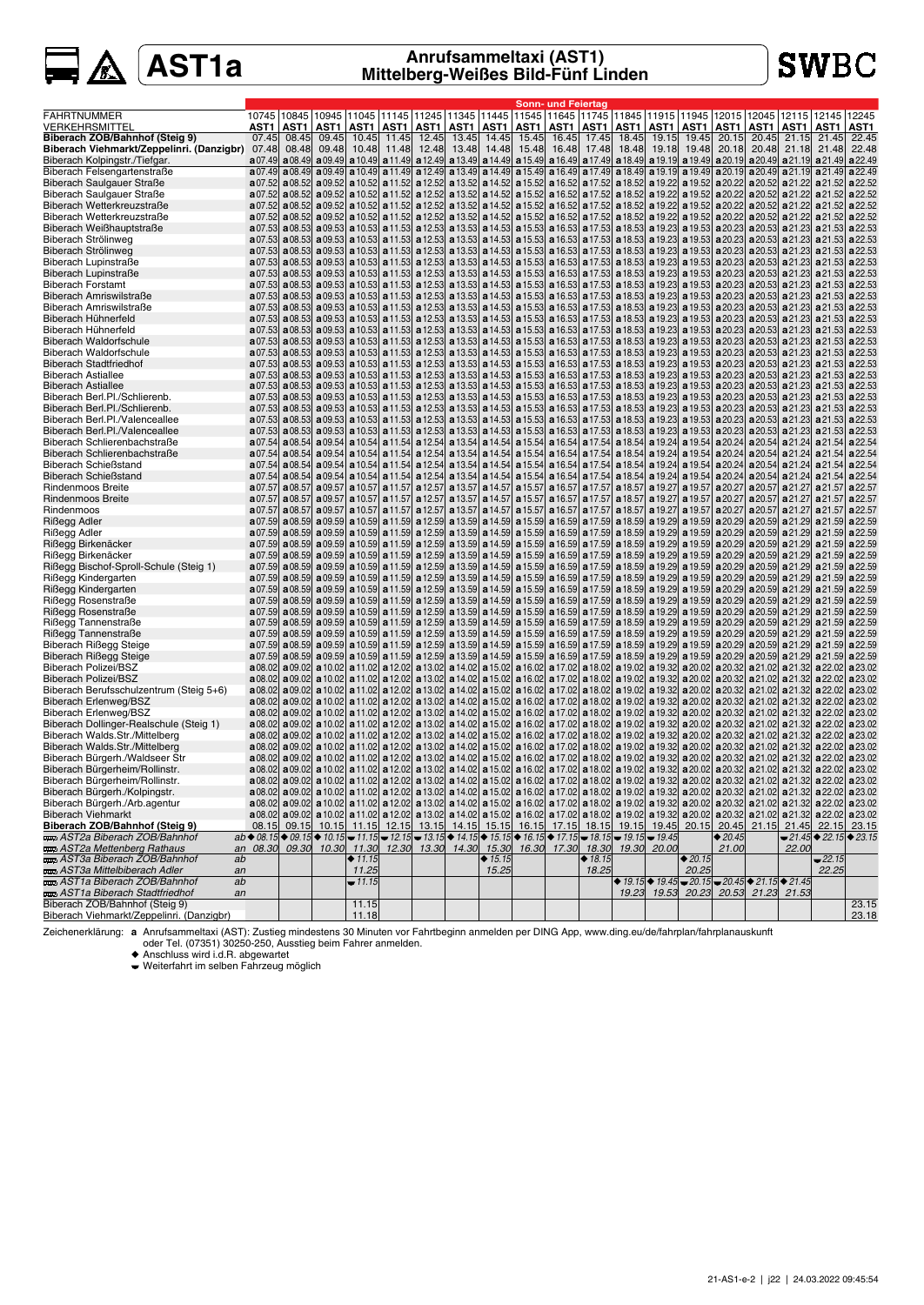# **SWBC**

|                                                                             |                                                                                                                                                                                                                                                                                                                                                                                                                                          |                |                                       |                |                                                                            |                |                |                |                | Sonn- und Feiertag                                                                                                                                                                                                                                             |                |                |                |                                                                                                                                                 |                                  |                |                         |                                                        |                    |
|-----------------------------------------------------------------------------|------------------------------------------------------------------------------------------------------------------------------------------------------------------------------------------------------------------------------------------------------------------------------------------------------------------------------------------------------------------------------------------------------------------------------------------|----------------|---------------------------------------|----------------|----------------------------------------------------------------------------|----------------|----------------|----------------|----------------|----------------------------------------------------------------------------------------------------------------------------------------------------------------------------------------------------------------------------------------------------------------|----------------|----------------|----------------|-------------------------------------------------------------------------------------------------------------------------------------------------|----------------------------------|----------------|-------------------------|--------------------------------------------------------|--------------------|
| <b>FAHRTNUMMER</b>                                                          | 10745                                                                                                                                                                                                                                                                                                                                                                                                                                    |                |                                       |                | 10845   10945   11045   11145   11245   11345   11445                      |                |                |                |                | 11545  11645  11745                                                                                                                                                                                                                                            |                |                |                | 11845   11915   11945                                                                                                                           | 12015 12045                      |                | 12115                   | 12145                                                  | 12245              |
| VERKEHRSMITTEL                                                              | AST1                                                                                                                                                                                                                                                                                                                                                                                                                                     | AST1           | AST1                                  | AST1           | AST1   AST1                                                                |                |                | AST1   AST1    | AST1           | AST1                                                                                                                                                                                                                                                           | AST1           |                | AST1   AST1    | AST1 I                                                                                                                                          | AST1                             | AST1           | AST1                    | AST1                                                   | AST1               |
| Biberach ZOB/Bahnhof (Steig 9)<br>Biberach Viehmarkt/Zeppelinri. (Danzigbr) | 07.45<br>07.48                                                                                                                                                                                                                                                                                                                                                                                                                           | 08.45<br>08.48 | 09.45<br>09.48                        | 10.45<br>10.48 | 11.45<br>11.48                                                             | 12.45<br>12.48 | 13.45<br>13.48 | 14.45<br>14.48 | 15.45<br>15.48 | 16.45<br>16.48                                                                                                                                                                                                                                                 | 17.45<br>17.48 | 18.45<br>18.48 | 19.15<br>19.18 | 19.45<br>19.48                                                                                                                                  | 20.15<br>20.18                   | 20.45<br>20.48 | 21.15<br>21.18          | 21.45<br>21.48                                         | 22.45<br>22.48     |
| Biberach Kolpingstr./Tiefgar.                                               | a07.49                                                                                                                                                                                                                                                                                                                                                                                                                                   |                |                                       |                | $a08.49$ a 09.49 a 10.49 a 11.49 a 12.49                                   |                |                |                |                | a 13.49 a 14.49 a 15.49 a 16.49 a 17.49 a 18.49 a 19.19 a 19.49                                                                                                                                                                                                |                |                |                |                                                                                                                                                 | $a20.19$ $a20.49$                |                | a 21.19                 | a21.49                                                 | a 22.49            |
| Biberach Felsengartenstraße                                                 | a07.49                                                                                                                                                                                                                                                                                                                                                                                                                                   |                |                                       |                |                                                                            |                |                |                |                | a08.49 a09.49 a10.49 a11.49 a12.49 a13.49 a14.49 a15.49 a16.49 a17.49 a18.49 a19.19 a19.49 a20.19 a20.49 a21.19 a21.49                                                                                                                                         |                |                |                |                                                                                                                                                 |                                  |                |                         |                                                        | a 22.49            |
| Biberach Saulgauer Straße                                                   | a07.52                                                                                                                                                                                                                                                                                                                                                                                                                                   | a08.52         |                                       |                | $a09.52$ a 10.52 a 11.52 a 12.52                                           |                |                |                |                | a 13.52 a 14.52 a 15.52 a 16.52 a 17.52 a 18.52 a 19.22 a 19.52 a 20.22 a 20.52 a 21.22 a 21.52                                                                                                                                                                |                |                |                |                                                                                                                                                 |                                  |                |                         |                                                        | a 22.52            |
| Biberach Saulgauer Straße                                                   | a07.52                                                                                                                                                                                                                                                                                                                                                                                                                                   |                |                                       |                | <b>a</b> 08.52 <b>a</b> 09.52 <b>a</b> 10.52 <b>a</b> 11.52 <b>a</b> 12.52 |                |                |                |                | a 13.52 a 14.52 a 15.52 a 16.52 a 17.52 a 18.52 a 19.22 a 19.52 a 20.22 a 20.52 a 21.22                                                                                                                                                                        |                |                |                |                                                                                                                                                 |                                  |                |                         | a21.52                                                 | a 22.52            |
| Biberach Wetterkreuzstraße                                                  | a07.52                                                                                                                                                                                                                                                                                                                                                                                                                                   |                |                                       |                |                                                                            |                |                |                |                | a08.52 a09.52 a10.52 a11.52 a12.52 a13.52 a14.52 a15.52 a16.52 a16.52 a17.52 a18.52 a19.22 a19.52 a20.22 a20.52 a21.22 a21.52                                                                                                                                  |                |                |                |                                                                                                                                                 |                                  |                |                         |                                                        | a 22.52            |
| Biberach Wetterkreuzstraße                                                  | a07.52                                                                                                                                                                                                                                                                                                                                                                                                                                   |                |                                       |                |                                                                            |                |                |                |                | a08.52 a09.52 a10.52 a10.52 a11.52 a12.52 a13.52 a14.52 a15.52 a16.52 a17.52 a18.52 a19.22 a19.52 a20.22 a20.52                                                                                                                                                |                |                |                |                                                                                                                                                 |                                  |                | a 21.22                 | a 21.52                                                | a 22.52            |
| Biberach Weißhauptstraße                                                    | a07.53                                                                                                                                                                                                                                                                                                                                                                                                                                   |                |                                       |                |                                                                            |                |                |                |                | a08.53 a09.53 a10.53 a11.53 a12.53 a13.53 a14.53 a15.53 a16.53 a17.53 a18.53 a19.23 a19.23 a20.23 a20.53 a21.23 a21.23 a21.53                                                                                                                                  |                |                |                |                                                                                                                                                 |                                  |                |                         |                                                        | a 22.53            |
| Biberach Strölinweg                                                         | a07.53                                                                                                                                                                                                                                                                                                                                                                                                                                   |                |                                       |                |                                                                            |                |                |                |                | a08.53 a09.53 a10.53 a11.53 a12.53 a13.53 a14.53 a15.53 a16.53 a17.53 a18.53 a19.23 a19.53 a20.23 a20.53 a20.53 a21.23 a21.53                                                                                                                                  |                |                |                |                                                                                                                                                 |                                  |                |                         |                                                        | a 22.53            |
| Biberach Strölinweg                                                         | a07.53                                                                                                                                                                                                                                                                                                                                                                                                                                   |                |                                       |                |                                                                            |                |                |                |                | a08.53 a09.53 a10.53 a11.53 a12.53 a13.53 a14.53 a15.53 a16.53 a17.53 a18.53 a18.53 a19.23 a19.53 a20.23 a20.53 a21.23 a21.53                                                                                                                                  |                |                |                |                                                                                                                                                 |                                  |                |                         |                                                        | a 22.53            |
| Biberach Lupinstraße                                                        | a07.53<br>a07.53                                                                                                                                                                                                                                                                                                                                                                                                                         |                |                                       |                |                                                                            |                |                |                |                | a08.53 a09.53 a10.53 a11.53 a12.53 a13.53 a14.53 a15.53 a16.53 a17.53 a18.53 a18.53 a19.23 a19.53 a20.23 a20.53 a21.23 a21.53                                                                                                                                  |                |                |                |                                                                                                                                                 |                                  |                |                         |                                                        | a 22.53<br>a 22.53 |
| Biberach Lupinstraße<br><b>Biberach Forstamt</b>                            | a07.53                                                                                                                                                                                                                                                                                                                                                                                                                                   |                |                                       |                |                                                                            |                |                |                |                | a08.53 a09.53 a10.53 a11.53 a12.53 a13.53 a14.53 a15.53 a16.53 a17.53 a18.53 a18.53 a19.23 a20.23 a20.23 a20.53 a21.23 a21.53<br>a08.53 a09.53 a10.53 a10.53 a11.53 a12.53 a13.53 a14.53 a15.53 a16.53 a17.53 a18.53 a19.23 a19.53 a20.23 a20.53 a21.23 a21.53 |                |                |                |                                                                                                                                                 |                                  |                |                         |                                                        | a 22.53            |
| Biberach Amriswilstraße                                                     | a07.53                                                                                                                                                                                                                                                                                                                                                                                                                                   |                |                                       |                |                                                                            |                |                |                |                | a08.53 a09.53 a10.53 a11.53 a12.53 a13.53 a14.53 a15.53 a16.53 a17.53 a18.53 a19.23 a19.53 a20.23 a20.53 a20.53 a21.23 a21.53                                                                                                                                  |                |                |                |                                                                                                                                                 |                                  |                |                         |                                                        | a22.53             |
| Biberach Amriswilstraße                                                     | a07.53                                                                                                                                                                                                                                                                                                                                                                                                                                   |                |                                       |                |                                                                            |                |                |                |                | a08.53 a09.53 a10.53 a10.53 a11.53 a12.53 a13.53 a14.53 a15.53 a16.53 a17.53 a18.53 a19.23 a19.53 a20.23 a20.53 a21.23 a21.53                                                                                                                                  |                |                |                |                                                                                                                                                 |                                  |                |                         |                                                        | a22.53             |
| Biberach Hühnerfeld                                                         | a07.53                                                                                                                                                                                                                                                                                                                                                                                                                                   |                |                                       |                |                                                                            |                |                |                |                | a08.53 a09.53 a10.53 a11.53 a12.53 a13.53 a14.53 a15.53 a16.53 a17.53 a18.53 a18.53 a19.23 a20.23 a20.23 a20.53 a21.23 a21.53                                                                                                                                  |                |                |                |                                                                                                                                                 |                                  |                |                         |                                                        | a 22.53            |
| Biberach Hühnerfeld                                                         | a07.53                                                                                                                                                                                                                                                                                                                                                                                                                                   |                |                                       |                |                                                                            |                |                |                |                | a08.53 a09.53 a10.53 a11.53 a12.53 a13.53 a14.53 a15.53 a16.53 a17.53 a18.53 a18.53 a19.23 a20.23 a20.23 a20.53 a21.23 a21.53                                                                                                                                  |                |                |                |                                                                                                                                                 |                                  |                |                         |                                                        | a 22.53            |
| <b>Biberach Waldorfschule</b>                                               | a07.53                                                                                                                                                                                                                                                                                                                                                                                                                                   |                |                                       |                |                                                                            |                |                |                |                | a08.53 a09.53 a10.53 a11.53 a12.53 a13.53 a14.53 a15.53 a16.53 a17.53 a18.53 a19.23 a19.23 a20.23 a20.53 a21.23 a21.23 a21.53                                                                                                                                  |                |                |                |                                                                                                                                                 |                                  |                |                         |                                                        | a 22.53            |
| <b>Biberach Waldorfschule</b>                                               |                                                                                                                                                                                                                                                                                                                                                                                                                                          |                |                                       |                |                                                                            |                |                |                |                | a07.53  a08.53  a09.53  a10.53  a11.53  a12.53  a13.53  a14.53  a15.53  a16.53  a17.53  a18.53  a19.23  a19.53  a20.23  a20.53  a21.23  a21.23  a21.53                                                                                                         |                |                |                |                                                                                                                                                 |                                  |                |                         |                                                        | a 22.53            |
| <b>Biberach Stadtfriedhof</b>                                               | a07.53                                                                                                                                                                                                                                                                                                                                                                                                                                   |                |                                       |                |                                                                            |                |                |                |                | a08.53 a09.53 a10.53 a11.53 a12.53 a13.53 a14.53 a15.53 a16.53 a17.53 a18.53 a19.23 a19.53 a20.23 a20.53 a20.53 a21.23 a21.53                                                                                                                                  |                |                |                |                                                                                                                                                 |                                  |                |                         |                                                        | a 22.53            |
| <b>Biberach Astiallee</b>                                                   | a07.53                                                                                                                                                                                                                                                                                                                                                                                                                                   |                |                                       |                |                                                                            |                |                |                |                | a08.53  a09.53  a10.53  a11.53  a12.53  a13.53  a14.53  a15.53  a16.53  a17.53  a18.53  a19.23  a19.53  a20.23  a20.53  a21.23  a21.33                                                                                                                         |                |                |                |                                                                                                                                                 |                                  |                |                         |                                                        | a 22.53            |
| <b>Biberach Astiallee</b>                                                   | a07.53                                                                                                                                                                                                                                                                                                                                                                                                                                   |                | $a08.53$ a 09.53 a 10.53              |                |                                                                            |                |                |                |                | a 11.53 a 12.53 a 13.53 a 14.53 a 15.53 a 16.53 a 17.53 a 18.53 a 19.23 a 19.33 a 20.23 a 20.53 a 21.23                                                                                                                                                        |                |                |                |                                                                                                                                                 |                                  |                |                         | a 21.53                                                | a22.53             |
| Biberach Berl.Pl./Schlierenb.                                               | a07.53                                                                                                                                                                                                                                                                                                                                                                                                                                   |                |                                       |                |                                                                            |                |                |                |                | a08.53 a09.53 a10.53 a11.53 a12.53 a13.53 a14.53 a15.53 a16.53 a17.53 a18.53 a19.23 a19.53 a20.23 a20.53 a20.53 a21.23 a21.53                                                                                                                                  |                |                |                |                                                                                                                                                 |                                  |                |                         |                                                        | a22.53             |
| Biberach Berl.Pl./Schlierenb.                                               | a07.53                                                                                                                                                                                                                                                                                                                                                                                                                                   |                |                                       |                |                                                                            |                |                |                |                | a08.53 a09.53 a10.53 a11.53 a12.53 a13.53 a14.53 a15.53 a16.53 a17.53 a18.53 a18.53 a19.23 a19.53 a20.23 a20.53 a21.23 a21.53                                                                                                                                  |                |                |                |                                                                                                                                                 |                                  |                |                         |                                                        | a 22.53            |
| Biberach Berl.Pl./Valenceallee<br>Biberach Berl.Pl./Valenceallee            | a07.53<br>a07.53                                                                                                                                                                                                                                                                                                                                                                                                                         |                |                                       |                |                                                                            |                |                |                |                | a08.53 a09.53 a10.53 a11.53 a12.53 a13.53 a14.53 a15.53 a16.53 a17.53 a17.53 a18.53 a19.23 a19.53 a20.23 a20.53 a21.23<br>a08.53 a09.53 a10.53 a11.53 a12.53 a13.53 a14.53 a15.53 a16.53 a17.53 a18.53 a18.53 a19.23 a20.23 a20.23 a20.53 a21.23 a21.53        |                |                |                |                                                                                                                                                 |                                  |                |                         | a21.53                                                 | a 22.53<br>a22.53  |
| Biberach Schlierenbachstraße                                                | a07.54                                                                                                                                                                                                                                                                                                                                                                                                                                   |                | $a08.54$ a09.54                       |                | <b>a</b> 10.54 <b>a</b> 11.54 <b>a</b> 12.54                               |                |                |                |                | a 13.54 a 14.54 a 15.54 a 16.54 a 17.54 a 18.54 a 19.24 a 19.54                                                                                                                                                                                                |                |                |                |                                                                                                                                                 | $a20.24$ a 20.54 a 21.24 a 21.54 |                |                         |                                                        | a 22.54            |
| Biberach Schlierenbachstraße                                                | a07.54                                                                                                                                                                                                                                                                                                                                                                                                                                   |                | a08.54 a09.54                         | a10.54         | $a11.54$ a 12.54                                                           |                |                |                |                | a 13.54 a 14.54 a 15.54 a 16.54 a 17.54 a 18.54 a 19.24 a 19.54 a 20.24 a 20.54 a 21.24 a 21.54                                                                                                                                                                |                |                |                |                                                                                                                                                 |                                  |                |                         |                                                        | a 22.54            |
| <b>Biberach Schießstand</b>                                                 | a07.54                                                                                                                                                                                                                                                                                                                                                                                                                                   |                |                                       |                |                                                                            |                |                |                |                | a08.54 a09.54 a10.54 a11.54 a12.54 a13.54 a14.54 a15.54 a15.54 a17.54 a18.54 a19.24 a19.24                                                                                                                                                                     |                |                |                |                                                                                                                                                 | a 20.24 a 20.54 a 21.24 a 21.54  |                |                         |                                                        | a 22.54            |
| <b>Biberach Schießstand</b>                                                 | a07.54                                                                                                                                                                                                                                                                                                                                                                                                                                   |                | a 08.54 a 09.54 a 10.54               |                |                                                                            |                |                |                |                | a 11.54 a 12.54 a 13.54 a 14.54 a 15.54 a 16.54 a 17.54 a 18.54 a 19.24 a 19.54 a 20.24 a 20.54 a 21.24 a 21.54                                                                                                                                                |                |                |                |                                                                                                                                                 |                                  |                |                         |                                                        | a 22.54            |
| <b>Rindenmoos Breite</b>                                                    | a07.57                                                                                                                                                                                                                                                                                                                                                                                                                                   |                |                                       |                |                                                                            |                |                |                |                | a08.57 a09.57 a10.57 a11.57 a12.57 a13.57 a14.57 a15.57 a15.57 a16.57 a17.57 a18.57 a19.27 a19.57 a20.27 a20.57 a21.27 a21.57                                                                                                                                  |                |                |                |                                                                                                                                                 |                                  |                |                         |                                                        | a 22.57            |
| Rindenmoos Breite                                                           | a07.57                                                                                                                                                                                                                                                                                                                                                                                                                                   | a08.57         |                                       |                |                                                                            |                |                |                |                | a09.57 a10.57 a11.57 a12.57 a13.57 a14.57 a15.57 a16.57 a17.57 a18.57 a19.27 a19.27 a19.57 a20.27 a20.57 a21.27 a21.57                                                                                                                                         |                |                |                |                                                                                                                                                 |                                  |                |                         |                                                        | a 22.57            |
| Rindenmoos                                                                  | a07.57                                                                                                                                                                                                                                                                                                                                                                                                                                   |                |                                       |                | <b>a</b> 08.57 <b>a</b> 09.57 <b>a</b> 10.57 <b>a</b> 11.57 <b>a</b> 12.57 |                |                |                |                | a 13.57 a 14.57 a 15.57 a 16.57 a 17.57 a 18.57 a 19.27 a 19.57 a 20.27 a 20.57 a 21.27 a 21.57                                                                                                                                                                |                |                |                |                                                                                                                                                 |                                  |                |                         |                                                        | a 22.57            |
| Rißegg Adler                                                                | a07.59                                                                                                                                                                                                                                                                                                                                                                                                                                   |                |                                       |                |                                                                            |                |                |                |                | a08.59 a09.59 a10.59 a11.59 a12.59 a13.59 a13.59 a14.59 a15.59 a16.59 a17.59 a18.59 a18.59 a19.29 a20.29 a20.29 a20.59 a21.29 a21.59                                                                                                                           |                |                |                |                                                                                                                                                 |                                  |                |                         |                                                        | a 22.59            |
| Rißegg Adler                                                                | a07.59                                                                                                                                                                                                                                                                                                                                                                                                                                   |                |                                       |                | <b>a</b> 08.59 <b>a</b> 09.59 <b>a</b> 10.59 <b>a</b> 11.59 <b>a</b> 12.59 |                |                |                |                | <b>a</b> 13.59 <b>a</b> 14.59 <b>a</b> 15.59 <b>a</b> 16.59 <b>a</b> 17.59 <b>a</b> 18.59 <b>a</b> 19.29 <b>a</b> 19.59 <b>a</b> 20.29 <b>a</b> 20.59 <b>a</b> 21.29 <b>a</b> 21.59                                                                            |                |                |                |                                                                                                                                                 |                                  |                |                         |                                                        | a 22.59            |
| Rißegg Birkenäcker                                                          | a07.59                                                                                                                                                                                                                                                                                                                                                                                                                                   |                |                                       |                | <b>a</b> 08.59 <b>a</b> 09.59 <b>a</b> 10.59 <b>a</b> 11.59 <b>a</b> 12.59 |                |                |                |                | <b>a</b> 13.59 <b>a</b> 14.59 <b>a</b> 15.59 <b>a</b> 16.59 <b>a</b> 17.59 <b>a</b> 18.59 <b>a</b> 19.29 <b>a</b> 19.59 <b>a</b> 20.29 <b>a</b> 20.59 <b>a</b> 21.29 <b>a</b> 21.59                                                                            |                |                |                |                                                                                                                                                 |                                  |                |                         |                                                        | a 22.59            |
| Rißegg Birkenäcker                                                          | a07.59                                                                                                                                                                                                                                                                                                                                                                                                                                   |                |                                       |                |                                                                            |                |                |                |                | a08.59 a09.59 a10.59 a11.59 a12.59 a13.59 a13.59 a14.59 a15.59 a16.59 a17.59 a18.59 a18.59 a19.29 a20.29 a20.29 a20.59 a21.29 a21.59                                                                                                                           |                |                |                |                                                                                                                                                 |                                  |                |                         |                                                        | a 22.59            |
| Rißegg Bischof-Sproll-Schule (Steig 1)<br>Rißegg Kindergarten               | a07.59<br>a07.59                                                                                                                                                                                                                                                                                                                                                                                                                         |                |                                       |                |                                                                            |                |                |                |                | a08.59 a09.59 a10.59 a10.59 a11.59 a12.59 a13.59 a14.59 a15.59 a16.59 a17.59 a13.59 a19.29 a19.59 a20.29 a20.59 a21.29 a21.59<br>a08.59 a09.59 a10.59 a11.59 a12.59 a13.59 a14.59 a15.59 a16.59 a16.59 a17.59 a18.59 a19.29 a19.59 a20.29 a20.59 a21.29 a21.59 |                |                |                |                                                                                                                                                 |                                  |                |                         |                                                        | a 22.59<br>a 22.59 |
| Rißegg Kindergarten                                                         | a07.59                                                                                                                                                                                                                                                                                                                                                                                                                                   |                |                                       |                |                                                                            |                |                |                |                | a08.59 a09.59 a10.59 a11.59 a12.59 a13.59 a14.59 a15.59 a16.59 a17.59 a17.59 a18.59 a19.29 a19.59 a20.29 a20.59 a21.29 a21.59                                                                                                                                  |                |                |                |                                                                                                                                                 |                                  |                |                         |                                                        | a 22.59            |
| Rißegg Rosenstraße                                                          | a07.59                                                                                                                                                                                                                                                                                                                                                                                                                                   |                |                                       |                |                                                                            |                |                |                |                | a08.59 a09.59 a10.59 a11.59 a12.59 a13.59 a13.59 a14.59 a15.59 a16.59 a17.59 a18.59 a18.59 a19.29 a20.29 a20.29 a20.59 a21.29 a21.59                                                                                                                           |                |                |                |                                                                                                                                                 |                                  |                |                         |                                                        | a 22.59            |
| Rißegg Rosenstraße                                                          | a07.59                                                                                                                                                                                                                                                                                                                                                                                                                                   |                |                                       |                |                                                                            |                |                |                |                | a08.59 a09.59 a10.59 a11.59 a12.59 a13.59 a14.59 a15.59 a16.59 a17.59 a17.59 a18.59 a19.29 a19.59 a20.29 a20.59 a21.29 a21.59                                                                                                                                  |                |                |                |                                                                                                                                                 |                                  |                |                         |                                                        | a 22.59            |
| Rißegg Tannenstraße                                                         | a07.59                                                                                                                                                                                                                                                                                                                                                                                                                                   |                |                                       |                |                                                                            |                |                |                |                | a08.59 a09.59 a10.59 a11.59 a12.59 a13.59 a13.59 a14.59 a15.59 a16.59 a17.59 a18.59 a18.59 a19.59 a20.29 a20.29 a20.59 a21.29 a21.59                                                                                                                           |                |                |                |                                                                                                                                                 |                                  |                |                         |                                                        | a 22.59            |
| Rißegg Tannenstraße                                                         | a07.59                                                                                                                                                                                                                                                                                                                                                                                                                                   |                |                                       |                |                                                                            |                |                |                |                | a08.59 a09.59 a10.59 a11.59 a12.59 a13.59 a13.59 a14.59 a15.59 a16.59 a17.59 a18.59 a18.59 a19.29 a20.29 a20.29 a20.59 a21.29 a21.59                                                                                                                           |                |                |                |                                                                                                                                                 |                                  |                |                         |                                                        | a 22.59            |
| Biberach Rißegg Steige                                                      | a07.59                                                                                                                                                                                                                                                                                                                                                                                                                                   |                |                                       |                |                                                                            |                |                |                |                | a08.59 a09.59 a10.59 a11.59 a12.59 a13.59 a13.59 a14.59 a15.59 a16.59 a17.59 a18.59 a18.59 a19.29 a20.29 a20.29 a20.59 a21.29 a21.59                                                                                                                           |                |                |                |                                                                                                                                                 |                                  |                |                         |                                                        | a 22.59            |
| Biberach Rißegg Steige                                                      | a07.59                                                                                                                                                                                                                                                                                                                                                                                                                                   |                |                                       |                |                                                                            |                |                |                |                | a08.59 a09.59 a10.59 a10.59 a11.59 a12.59 a13.59 a14.59 a15.59 a16.59 a17.59 a13.59 a19.29 a19.59 a20.29 a20.59 a21.29 a21.59                                                                                                                                  |                |                |                |                                                                                                                                                 |                                  |                |                         |                                                        | a 22.59            |
| <b>Biberach Polizei/BSZ</b>                                                 | a08.02                                                                                                                                                                                                                                                                                                                                                                                                                                   |                |                                       |                |                                                                            |                |                |                |                | a09.02 a10.02 a11.02 a12.02 a13.02 a14.02 a15.02 a16.02 a17.02 a18.02 a19.02 a19.02 a20.02 a20.02 a21.02 a21.02 a21.32 a22.02                                                                                                                                  |                |                |                |                                                                                                                                                 |                                  |                |                         |                                                        | a 23.02            |
| <b>Biberach Polizei/BSZ</b>                                                 | a08.02                                                                                                                                                                                                                                                                                                                                                                                                                                   |                |                                       |                |                                                                            |                |                |                |                | a09.02 a10.02 a11.02 a11.02 a12.02 a13.02 a14.02 a15.02 a16.02 a17.02 a18.02 a19.02 a19.32 a20.02 a20.32                                                                                                                                                       |                |                |                |                                                                                                                                                 |                                  |                | a 21.02 a 21.32 a 22.02 |                                                        | a 23.02            |
| Biberach Berufsschulzentrum (Steig 5+6)                                     | a08.02                                                                                                                                                                                                                                                                                                                                                                                                                                   |                |                                       |                |                                                                            |                |                |                |                | a09.02 a10.02 a11.02 a12.02 a13.02 a14.02 a15.02 a16.02 a16.02 a17.02 a18.02 a19.02 a19.32 a20.02 a20.32 a21.02 a21.02 a21.32 a22.02                                                                                                                           |                |                |                |                                                                                                                                                 |                                  |                |                         |                                                        | a 23.02            |
| Biberach Erlenweg/BSZ<br>Biberach Erlenweg/BSZ                              | a08.02                                                                                                                                                                                                                                                                                                                                                                                                                                   |                | a 08.02   a 09.02   a 10.02   a 11.02 |                |                                                                            |                |                |                |                | a 12.02 a 13.02 a 14.02 a 15.02 a 16.02 a 17.02 a 18.02 a 19.02 a 19.32 a 20.02 a 20.32 a 21.02 a 21.32 a 22.02<br>a09.02 a10.02 a11.02 a12.02 a13.02 a14.02 a15.02 a16.02 a17.02 a18.02 a19.02 a19.02 a20.02 a20.02 a21.02 a21.02 a21.32 a22.02               |                |                |                |                                                                                                                                                 |                                  |                |                         |                                                        | a 23.02<br>a 23.02 |
| Biberach Dollinger-Realschule (Steig 1)                                     |                                                                                                                                                                                                                                                                                                                                                                                                                                          |                |                                       |                |                                                                            |                |                |                |                | a08.02 a09.02 a10.02 a10.02 a11.02 a12.02 a13.02 a14.02 a15.02 a16.02 a17.02 a18.02 a19.02 a19.02 a21.32 a20.32 a21.02 a21.32 a22.02                                                                                                                           |                |                |                |                                                                                                                                                 |                                  |                |                         |                                                        | a 23.02            |
| Biberach Walds.Str./Mittelberg                                              |                                                                                                                                                                                                                                                                                                                                                                                                                                          |                |                                       |                |                                                                            |                |                |                |                | a 08.02 a 09.02 a 10.02 a 11.02 a 12.02 a 13.02 a 14.02 a 15.02 a 16.02 a 17.02 a 18.02 a 19.02 a 19.32 a 20.02 a 20.32 a 21.02 a 21.32 a 22.02                                                                                                                |                |                |                |                                                                                                                                                 |                                  |                |                         |                                                        | a 23.02            |
| Biberach Walds.Str./Mittelberg                                              |                                                                                                                                                                                                                                                                                                                                                                                                                                          |                | $a08.02$ a 09.02 a 10.02 a 11.02      |                |                                                                            |                |                |                |                | a 12.02 a 13.02 a 14.02 a 15.02 a 16.02 a 17.02 a 18.02 a 19.02 a 19.32 a 20.02 a 20.32 a 21.02 a 21.32 a 22.02                                                                                                                                                |                |                |                |                                                                                                                                                 |                                  |                |                         |                                                        | a 23.02            |
| Biberach Bürgerh./Waldseer Str                                              | a08.02                                                                                                                                                                                                                                                                                                                                                                                                                                   |                | a 09.02   a 10.02   a 11.02           |                |                                                                            |                |                |                |                | a 12.02 a 13.02 a 14.02 a 15.02 a 16.02 a 17.02 a 18.02 a 19.02 a 19.32 a 20.02 a 20.32                                                                                                                                                                        |                |                |                |                                                                                                                                                 |                                  | a 21.02        |                         | $a21.32$ a 22.02                                       | a 23.02            |
| Biberach Bürgerheim/Rollinstr.                                              |                                                                                                                                                                                                                                                                                                                                                                                                                                          |                |                                       |                |                                                                            |                |                |                |                | a 08.02   a09.02   a10.02   a11.02   a12.02   a13.02   a14.02   a15.02   a16.02   a17.02   a18.02   a19.02   a19.32   a20.02   a20.32   a21.02   a21.32   a22.02                                                                                               |                |                |                |                                                                                                                                                 |                                  |                |                         |                                                        | a 23.02            |
| Biberach Bürgerheim/Rollinstr.                                              |                                                                                                                                                                                                                                                                                                                                                                                                                                          |                |                                       |                |                                                                            |                |                |                |                | a 08.02 a 09.02 a 10.02 a 11.02 a 12.02 a 13.02 a 14.02 a 15.02 a 16.02 a 17.02 a 18.02 a 19.02 a 19.32 a 20.02 a 20.32 a 21.02 a 21.32 a 22.02                                                                                                                |                |                |                |                                                                                                                                                 |                                  |                |                         |                                                        | a 23.02            |
| Biberach Bürgerh./Kolpingstr.                                               |                                                                                                                                                                                                                                                                                                                                                                                                                                          |                |                                       |                |                                                                            |                |                |                |                | a 08.02 a 09.02 a 10.02 a 11.02 a 12.02 a 13.02 a 14.02 a 15.02 a 16.02 a 17.02 a 18.02 a 19.02 a 19.02 a 20.02 a 20.02 a 20.02 a 21.02 a 21.02 a 22.02 a 23.02                                                                                                |                |                |                |                                                                                                                                                 |                                  |                |                         |                                                        |                    |
| Biberach Bürgerh./Arb.agentur                                               |                                                                                                                                                                                                                                                                                                                                                                                                                                          |                |                                       |                |                                                                            |                |                |                |                | a 08.02 a 09.02 a 10.02 a 11.02 a 12.02 a 13.02 a 14.02 a 15.02 a 16.02 a 17.02 a 18.02 a 19.02 a 19.02 a 20.02 a 20.02 a 21.02 a 21.32 a 22.02 a 23.02                                                                                                        |                |                |                |                                                                                                                                                 |                                  |                |                         |                                                        |                    |
| <b>Biberach Viehmarkt</b>                                                   |                                                                                                                                                                                                                                                                                                                                                                                                                                          |                |                                       |                |                                                                            |                |                |                |                | a 08.02 a 09.02 a 10.02 a 11.02 a 12.02 a 13.02 a 14.02 a 15.02 a 16.02 a 17.02 a 18.02 a 19.02 a 19.02 a 20.02 a 20.02 a 21.02 a 21.32 a 22.02 a 23.02                                                                                                        |                |                |                |                                                                                                                                                 |                                  |                |                         |                                                        |                    |
| Biberach ZOB/Bahnhof (Steig 9)                                              |                                                                                                                                                                                                                                                                                                                                                                                                                                          |                |                                       |                |                                                                            |                |                |                |                | 08.15 09.15 10.15 11.15 12.15 13.15 14.15 15.15 16.15 17.15 18.15 19.15 19.45 20.15 20.45 21.15 21.45 22.15 23.15                                                                                                                                              |                |                |                |                                                                                                                                                 |                                  |                |                         |                                                        |                    |
| AST2a Biberach ZOB/Bahnhof                                                  | $ab \blacklozenge 08.15$ $\Leftrightarrow$ 09.15 $\Leftrightarrow$ 10.15 $\blacktriangleright$ 11.15 $\blacktriangleright$ 12.15 $\blacktriangleright$ 13.15 $\Leftrightarrow$ 14.15 $\Leftrightarrow$ 15.15 $\Leftrightarrow$ 16.15 $\blacktriangleright$ 17.15 $\blacktriangleright$ 18.15 $\blacktriangleright$ 19.15 $\blacktriangleright$ 19.45<br>an 08.30 09.30 10.30 11.30 12.30 13.30 14.30 15.30 16.30 17.30 18.30 19.30 20.00 |                |                                       |                |                                                                            |                |                |                |                |                                                                                                                                                                                                                                                                |                |                |                |                                                                                                                                                 | <b>◆ 20.45</b><br>21.00          |                | 22.00                   | $-21.45$ $\triangleright$ 22.15 $\triangleright$ 23.15 |                    |
| AST2a Mettenberg Rathaus<br>AST3a Biberach ZOB/Bahnhof<br>ab                |                                                                                                                                                                                                                                                                                                                                                                                                                                          |                |                                       | $*11.15$       |                                                                            |                |                | ◆ 15.15        |                |                                                                                                                                                                                                                                                                | <b>◆ 18.15</b> |                |                | <b>◆ 20.15</b>                                                                                                                                  |                                  |                |                         | $-22.15$                                               |                    |
| AST3a Mittelbiberach Adler<br>an                                            |                                                                                                                                                                                                                                                                                                                                                                                                                                          |                |                                       | 11.25          |                                                                            |                |                | 15.25          |                |                                                                                                                                                                                                                                                                | 18.25          |                |                | 20.25                                                                                                                                           |                                  |                |                         | 22.25                                                  |                    |
| AST1a Biberach ZOB/Bahnhof<br>ab                                            |                                                                                                                                                                                                                                                                                                                                                                                                                                          |                |                                       | $-11.15$       |                                                                            |                |                |                |                |                                                                                                                                                                                                                                                                |                |                |                | $\blacklozenge$ 19.15 $\blacklozenge$ 19.45 $\blacktriangleright$ 20.15 $\blacktriangleright$ 20.45 $\blacklozenge$ 21.15 $\blacklozenge$ 21.45 |                                  |                |                         |                                                        |                    |
| AST1a Biberach Stadtfriedhof<br>an                                          |                                                                                                                                                                                                                                                                                                                                                                                                                                          |                |                                       |                |                                                                            |                |                |                |                |                                                                                                                                                                                                                                                                |                |                |                | 19.23 19.53 20.23 20.53 21.23 21.53                                                                                                             |                                  |                |                         |                                                        |                    |
| Biberach ZOB/Bahnhof (Steig 9)                                              |                                                                                                                                                                                                                                                                                                                                                                                                                                          |                |                                       | 11.15          |                                                                            |                |                |                |                |                                                                                                                                                                                                                                                                |                |                |                |                                                                                                                                                 |                                  |                |                         |                                                        | 23.15              |
| Biberach Viehmarkt/Zeppelinri. (Danzigbr)                                   |                                                                                                                                                                                                                                                                                                                                                                                                                                          |                |                                       | 11.18          |                                                                            |                |                |                |                |                                                                                                                                                                                                                                                                |                |                |                |                                                                                                                                                 |                                  |                |                         |                                                        | 23.18              |

Zeichenerklärung: a Anrufsammeltaxi (AST): Zustieg mindestens 30 Minuten vor Fahrtbeginn anmelden per DING App, www.ding.eu/de/fahrplan/fahrplanauskunft<br>oder Tel. (07351) 30250-250, Ausstieg beim Fahrer anmelden.<br>♦ Weiter